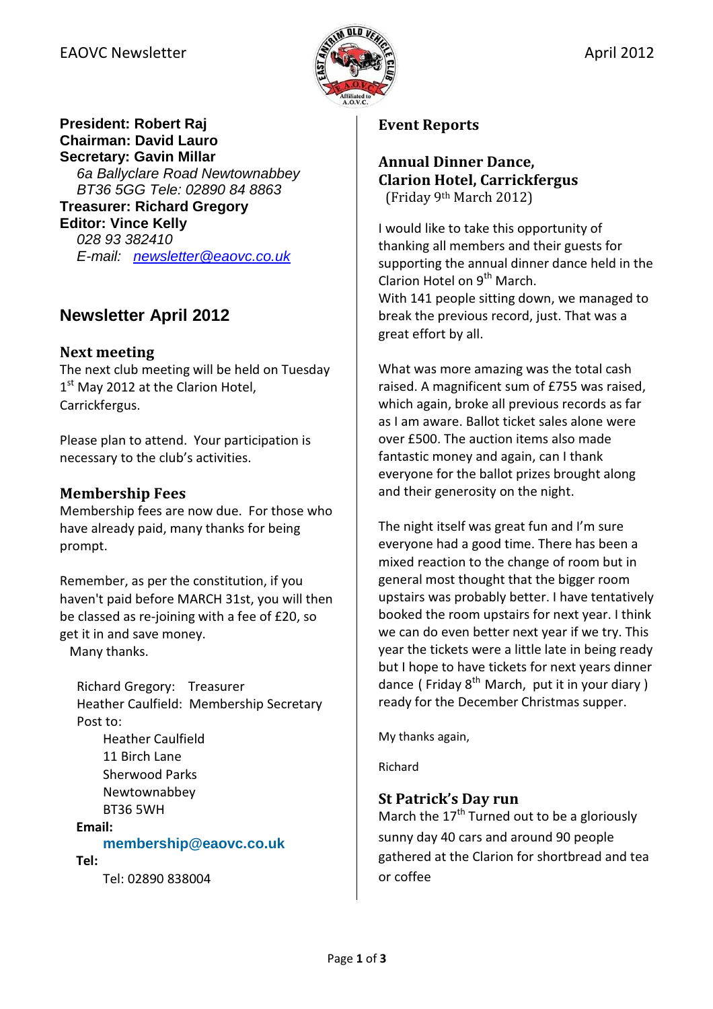

### **President: Robert Raj Chairman: David Lauro Secretary: Gavin Millar**

6a Ballyclare Road Newtownabbey BT36 5GG Tele: 02890 84 8863 **Treasurer: Richard Gregory Editor: Vince Kelly**  028 93 382410 E-mail: newsletter@eaovc.co.uk

# **Newsletter April 2012**

# Next meeting

The next club meeting will be held on Tuesday 1<sup>st</sup> May 2012 at the Clarion Hotel, Carrickfergus.

Please plan to attend. Your participation is necessary to the club's activities.

# Membership Fees

Membership fees are now due. For those who have already paid, many thanks for being prompt.

Remember, as per the constitution, if you haven't paid before MARCH 31st, you will then be classed as re-joining with a fee of £20, so get it in and save money. Many thanks.

Richard Gregory: Treasurer Heather Caulfield: Membership Secretary Post to:

Heather Caulfield 11 Birch Lane Sherwood Parks Newtownabbey BT36 5WH

Email:

### **membership@eaovc.co.uk**

#### Tel:

Tel: 02890 838004

### Event Reports

### Annual Dinner Dance, Clarion Hotel, Carrickfergus (Friday 9th March 2012)

I would like to take this opportunity of thanking all members and their guests for supporting the annual dinner dance held in the Clarion Hotel on  $9<sup>th</sup>$  March. With 141 people sitting down, we managed to break the previous record, just. That was a great effort by all.

What was more amazing was the total cash raised. A magnificent sum of £755 was raised, which again, broke all previous records as far as I am aware. Ballot ticket sales alone were over £500. The auction items also made fantastic money and again, can I thank everyone for the ballot prizes brought along and their generosity on the night.

The night itself was great fun and I'm sure everyone had a good time. There has been a mixed reaction to the change of room but in general most thought that the bigger room upstairs was probably better. I have tentatively booked the room upstairs for next year. I think we can do even better next year if we try. This year the tickets were a little late in being ready but I hope to have tickets for next years dinner dance (Friday  $8^{th}$  March, put it in your diary) ready for the December Christmas supper.

My thanks again,

Richard

# St Patrick's Day run

March the  $17<sup>th</sup>$  Turned out to be a gloriously sunny day 40 cars and around 90 people gathered at the Clarion for shortbread and tea or coffee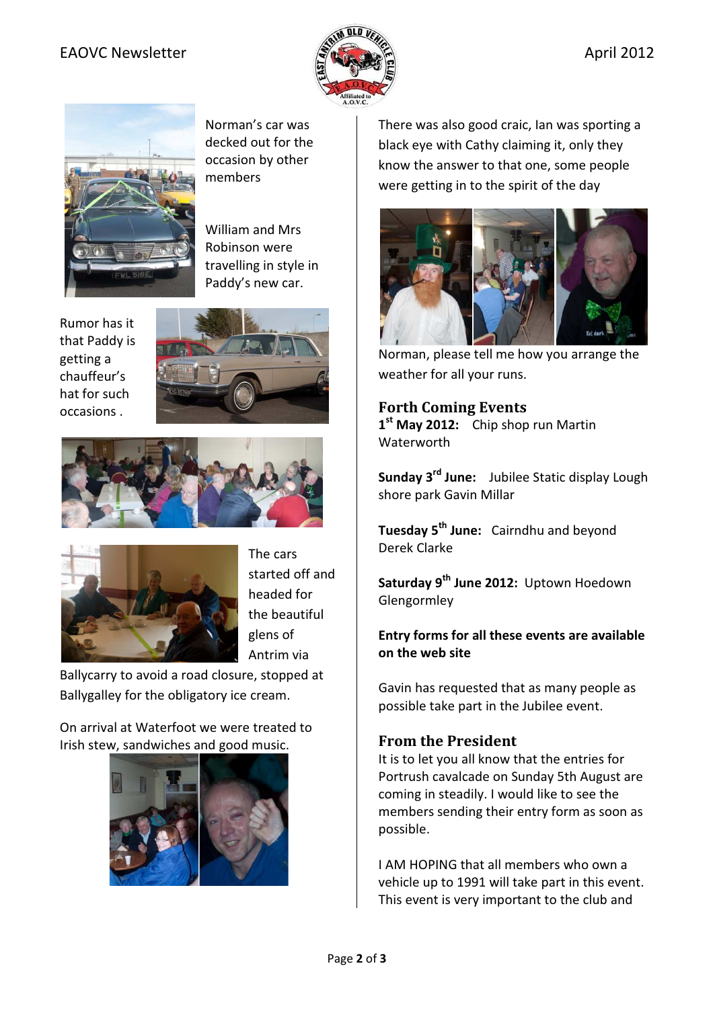### EAOVC Newsletter  $\mathbb{R}$   $\mathbb{R}$



Norman's car was decked out for the occasion by other members

William and Mrs Robinson were travelling in style in Paddy's new car.

Rumor has it that Paddy is getting a chauffeur's hat for such occasions .







The cars started off and headed for the beautiful glens of Antrim via

Ballycarry to avoid a road closure, stopped at Ballygalley for the obligatory ice cream.

On arrival at Waterfoot we were treated to Irish stew, sandwiches and good music.



There was also good craic, Ian was sporting a black eye with Cathy claiming it, only they know the answer to that one, some people were getting in to the spirit of the day



Norman, please tell me how you arrange the weather for all your runs.

### Forth Coming Events

1<sup>st</sup> May 2012: Chip shop run Martin Waterworth

Sunday 3<sup>rd</sup> June: Jubilee Static display Lough shore park Gavin Millar

Tuesday 5<sup>th</sup> June: Cairndhu and beyond Derek Clarke

Saturday 9<sup>th</sup> June 2012: Uptown Hoedown Glengormley

#### Entry forms for all these events are available on the web site

Gavin has requested that as many people as possible take part in the Jubilee event.

### From the President

It is to let you all know that the entries for Portrush cavalcade on Sunday 5th August are coming in steadily. I would like to see the members sending their entry form as soon as possible.

I AM HOPING that all members who own a vehicle up to 1991 will take part in this event. This event is very important to the club and